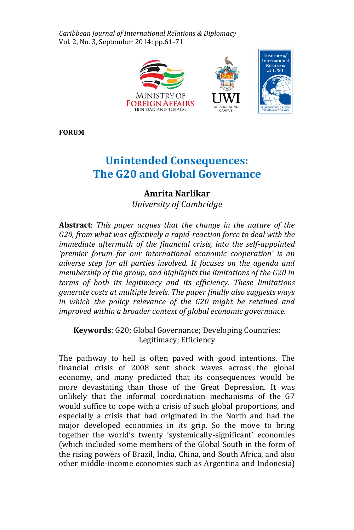*Caribbean Journal of International Relations & Diplomacy*  Vol. 2, No. 3, September 2014: pp.61-71



**FORUM**

# **Unintended Consequences: The G20 and Global Governance**

# **Amrita Narlikar**

*University of Cambridge*

**Abstract**: *This paper argues that the change in the nature of the G20, from what was effectively a rapid-reaction force to deal with the immediate aftermath of the financial crisis, into the self-appointed 'premier forum for our international economic cooperation' is an adverse step for all parties involved. It focuses on the agenda and membership of the group, and highlights the limitations of the G20 in terms of both its legitimacy and its efficiency. These limitations generate costs at multiple levels. The paper finally also suggests ways in which the policy relevance of the G20 might be retained and improved within a broader context of global economic governance.*

**Keywords**: G20; Global Governance; Developing Countries; Legitimacy; Efficiency

The pathway to hell is often paved with good intentions. The financial crisis of 2008 sent shock waves across the global economy, and many predicted that its consequences would be more devastating than those of the Great Depression. It was unlikely that the informal coordination mechanisms of the G7 would suffice to cope with a crisis of such global proportions, and especially a crisis that had originated in the North and had the major developed economies in its grip. So the move to bring together the world's twenty 'systemically-significant' economies (which included some members of the Global South in the form of the rising powers of Brazil, India, China, and South Africa, and also other middle-income economies such as Argentina and Indonesia)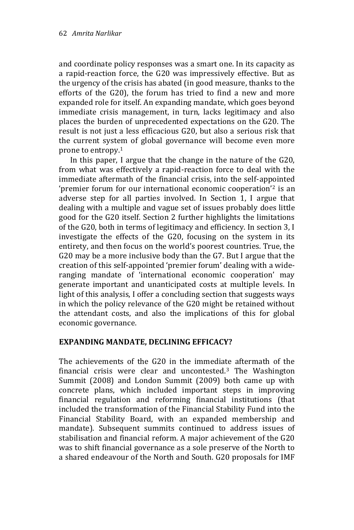and coordinate policy responses was a smart one. In its capacity as a rapid-reaction force, the G20 was impressively effective. But as the urgency of the crisis has abated (in good measure, thanks to the efforts of the G20), the forum has tried to find a new and more expanded role for itself. An expanding mandate, which goes beyond immediate crisis management, in turn, lacks legitimacy and also places the burden of unprecedented expectations on the G20. The result is not just a less efficacious G20, but also a serious risk that the current system of global governance will become even more prone to entropy.<sup>1</sup>

In this paper, I argue that the change in the nature of the G20, from what was effectively a rapid-reaction force to deal with the immediate aftermath of the financial crisis, into the self-appointed 'premier forum for our international economic cooperation'<sup>2</sup> is an adverse step for all parties involved. In Section 1, I argue that dealing with a multiple and vague set of issues probably does little good for the G20 itself. Section 2 further highlights the limitations of the G20, both in terms of legitimacy and efficiency. In section 3, I investigate the effects of the G20, focusing on the system in its entirety, and then focus on the world's poorest countries. True, the G20 may be a more inclusive body than the G7. But I argue that the creation of this self-appointed 'premier forum' dealing with a wideranging mandate of 'international economic cooperation' may generate important and unanticipated costs at multiple levels. In light of this analysis, I offer a concluding section that suggests ways in which the policy relevance of the G20 might be retained without the attendant costs, and also the implications of this for global economic governance.

# **EXPANDING MANDATE, DECLINING EFFICACY?**

The achievements of the G20 in the immediate aftermath of the financial crisis were clear and uncontested.<sup>3</sup> The Washington Summit (2008) and London Summit (2009) both came up with concrete plans, which included important steps in improving financial regulation and reforming financial institutions (that included the transformation of the Financial Stability Fund into the Financial Stability Board, with an expanded membership and mandate). Subsequent summits continued to address issues of stabilisation and financial reform. A major achievement of the G20 was to shift financial governance as a sole preserve of the North to a shared endeavour of the North and South. G20 proposals for IMF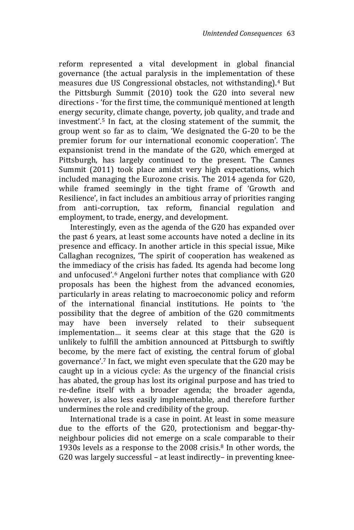reform represented a vital development in global financial governance (the actual paralysis in the implementation of these measures due US Congressional obstacles, not withstanding).<sup>4</sup> But the Pittsburgh Summit (2010) took the G20 into several new directions - 'for the first time, the communiqué mentioned at length energy security, climate change, poverty, job quality, and trade and investment'.<sup>5</sup> In fact, at the closing statement of the summit, the group went so far as to claim, 'We designated the G-20 to be the premier forum for our international economic cooperation'. The expansionist trend in the mandate of the G20, which emerged at Pittsburgh, has largely continued to the present. The Cannes Summit (2011) took place amidst very high expectations, which included managing the Eurozone crisis. The 2014 agenda for G20, while framed seemingly in the tight frame of 'Growth and Resilience', in fact includes an ambitious array of priorities ranging from anti-corruption, tax reform, financial regulation and employment, to trade, energy, and development.

Interestingly, even as the agenda of the G20 has expanded over the past 6 years, at least some accounts have noted a decline in its presence and efficacy. In another article in this special issue, Mike Callaghan recognizes, 'The spirit of cooperation has weakened as the immediacy of the crisis has faded. Its agenda had become long and unfocused'.<sup>6</sup> Angeloni further notes that compliance with G20 proposals has been the highest from the advanced economies, particularly in areas relating to macroeconomic policy and reform of the international financial institutions. He points to 'the possibility that the degree of ambition of the G20 commitments may have been inversely related to their subsequent implementation… it seems clear at this stage that the G20 is unlikely to fulfill the ambition announced at Pittsburgh to swiftly become, by the mere fact of existing, the central forum of global governance'. <sup>7</sup> In fact, we might even speculate that the G20 may be caught up in a vicious cycle: As the urgency of the financial crisis has abated, the group has lost its original purpose and has tried to re-define itself with a broader agenda; the broader agenda, however, is also less easily implementable, and therefore further undermines the role and credibility of the group.

International trade is a case in point. At least in some measure due to the efforts of the G20, protectionism and beggar-thyneighbour policies did not emerge on a scale comparable to their 1930s levels as a response to the 2008 crisis.<sup>8</sup> In other words, the G20 was largely successful – at least indirectly– in preventing knee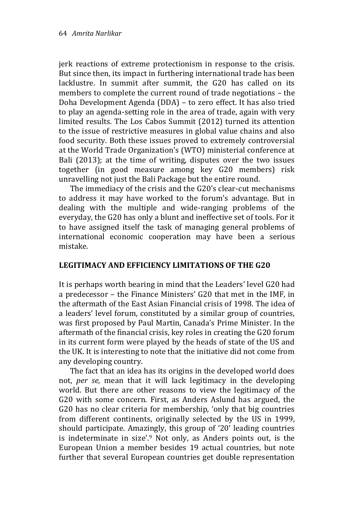jerk reactions of extreme protectionism in response to the crisis. But since then, its impact in furthering international trade has been lacklustre. In summit after summit, the G20 has called on its members to complete the current round of trade negotiations – the Doha Development Agenda (DDA) – to zero effect. It has also tried to play an agenda-setting role in the area of trade, again with very limited results. The Los Cabos Summit (2012) turned its attention to the issue of restrictive measures in global value chains and also food security. Both these issues proved to extremely controversial at the World Trade Organization's (WTO) ministerial conference at Bali (2013); at the time of writing, disputes over the two issues together (in good measure among key G20 members) risk unravelling not just the Bali Package but the entire round.

The immediacy of the crisis and the G20's clear-cut mechanisms to address it may have worked to the forum's advantage. But in dealing with the multiple and wide-ranging problems of the everyday, the G20 has only a blunt and ineffective set of tools. For it to have assigned itself the task of managing general problems of international economic cooperation may have been a serious mistake.

### **LEGITIMACY AND EFFICIENCY LIMITATIONS OF THE G20**

It is perhaps worth bearing in mind that the Leaders' level G20 had a predecessor – the Finance Ministers' G20 that met in the IMF, in the aftermath of the East Asian Financial crisis of 1998. The idea of a leaders' level forum, constituted by a similar group of countries, was first proposed by Paul Martin, Canada's Prime Minister. In the aftermath of the financial crisis, key roles in creating the G20 forum in its current form were played by the heads of state of the US and the UK. It is interesting to note that the initiative did not come from any developing country.

The fact that an idea has its origins in the developed world does not, *per se,* mean that it will lack legitimacy in the developing world. But there are other reasons to view the legitimacy of the G20 with some concern. First, as Anders Aslund has argued, the G20 has no clear criteria for membership, 'only that big countries from different continents, originally selected by the US in 1999, should participate. Amazingly, this group of '20' leading countries is indeterminate in size'.<sup>9</sup> Not only, as Anders points out, is the European Union a member besides 19 actual countries, but note further that several European countries get double representation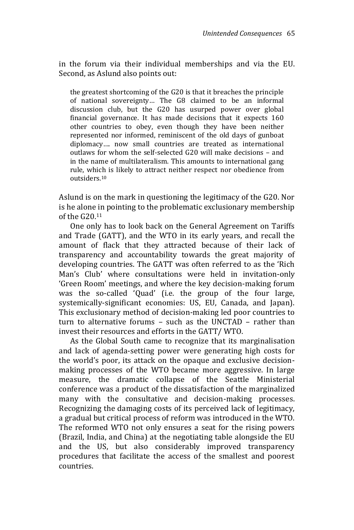in the forum via their individual memberships and via the EU. Second, as Aslund also points out:

the greatest shortcoming of the G20 is that it breaches the principle of national sovereignty… The G8 claimed to be an informal discussion club, but the G20 has usurped power over global financial governance. It has made decisions that it expects 160 other countries to obey, even though they have been neither represented nor informed, reminiscent of the old days of gunboat diplomacy…. now small countries are treated as international outlaws for whom the self-selected G20 will make decisions – and in the name of multilateralism. This amounts to international gang rule, which is likely to attract neither respect nor obedience from outsiders.<sup>10</sup>

Aslund is on the mark in questioning the legitimacy of the G20. Nor is he alone in pointing to the problematic exclusionary membership of the G20.<sup>11</sup>

One only has to look back on the General Agreement on Tariffs and Trade (GATT), and the WTO in its early years, and recall the amount of flack that they attracted because of their lack of transparency and accountability towards the great majority of developing countries. The GATT was often referred to as the 'Rich Man's Club' where consultations were held in invitation-only 'Green Room' meetings, and where the key decision-making forum was the so-called 'Quad' (i.e. the group of the four large, systemically-significant economies: US, EU, Canada, and Japan). This exclusionary method of decision-making led poor countries to turn to alternative forums – such as the UNCTAD – rather than invest their resources and efforts in the GATT/ WTO.

As the Global South came to recognize that its marginalisation and lack of agenda-setting power were generating high costs for the world's poor, its attack on the opaque and exclusive decisionmaking processes of the WTO became more aggressive. In large measure, the dramatic collapse of the Seattle Ministerial conference was a product of the dissatisfaction of the marginalized many with the consultative and decision-making processes. Recognizing the damaging costs of its perceived lack of legitimacy, a gradual but critical process of reform was introduced in the WTO. The reformed WTO not only ensures a seat for the rising powers (Brazil, India, and China) at the negotiating table alongside the EU and the US, but also considerably improved transparency procedures that facilitate the access of the smallest and poorest countries.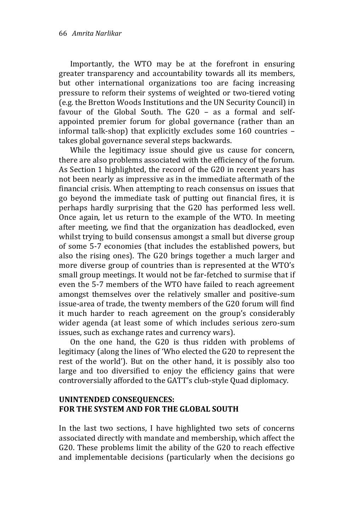Importantly, the WTO may be at the forefront in ensuring greater transparency and accountability towards all its members, but other international organizations too are facing increasing pressure to reform their systems of weighted or two-tiered voting (e.g. the Bretton Woods Institutions and the UN Security Council) in favour of the Global South. The G20 – as a formal and selfappointed premier forum for global governance (rather than an informal talk-shop) that explicitly excludes some 160 countries – takes global governance several steps backwards.

While the legitimacy issue should give us cause for concern, there are also problems associated with the efficiency of the forum. As Section 1 highlighted, the record of the G20 in recent years has not been nearly as impressive as in the immediate aftermath of the financial crisis. When attempting to reach consensus on issues that go beyond the immediate task of putting out financial fires, it is perhaps hardly surprising that the G20 has performed less well. Once again, let us return to the example of the WTO. In meeting after meeting, we find that the organization has deadlocked, even whilst trying to build consensus amongst a small but diverse group of some 5-7 economies (that includes the established powers, but also the rising ones). The G20 brings together a much larger and more diverse group of countries than is represented at the WTO's small group meetings. It would not be far-fetched to surmise that if even the 5-7 members of the WTO have failed to reach agreement amongst themselves over the relatively smaller and positive-sum issue-area of trade, the twenty members of the G20 forum will find it much harder to reach agreement on the group's considerably wider agenda (at least some of which includes serious zero-sum issues, such as exchange rates and currency wars).

On the one hand, the G20 is thus ridden with problems of legitimacy (along the lines of 'Who elected the G20 to represent the rest of the world'). But on the other hand, it is possibly also too large and too diversified to enjoy the efficiency gains that were controversially afforded to the GATT's club-style Quad diplomacy.

#### **UNINTENDED CONSEQUENCES: FOR THE SYSTEM AND FOR THE GLOBAL SOUTH**

In the last two sections, I have highlighted two sets of concerns associated directly with mandate and membership, which affect the G20. These problems limit the ability of the G20 to reach effective and implementable decisions (particularly when the decisions go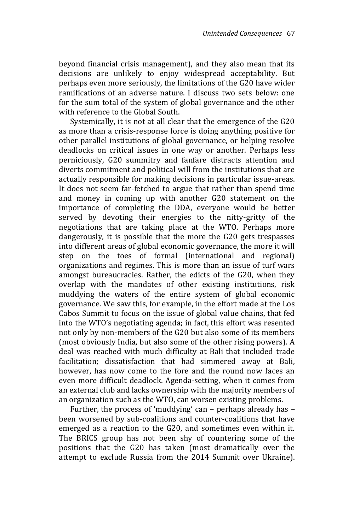beyond financial crisis management), and they also mean that its decisions are unlikely to enjoy widespread acceptability. But perhaps even more seriously, the limitations of the G20 have wider ramifications of an adverse nature. I discuss two sets below: one for the sum total of the system of global governance and the other with reference to the Global South.

Systemically, it is not at all clear that the emergence of the G20 as more than a crisis-response force is doing anything positive for other parallel institutions of global governance, or helping resolve deadlocks on critical issues in one way or another. Perhaps less perniciously, G20 summitry and fanfare distracts attention and diverts commitment and political will from the institutions that are actually responsible for making decisions in particular issue-areas. It does not seem far-fetched to argue that rather than spend time and money in coming up with another G20 statement on the importance of completing the DDA, everyone would be better served by devoting their energies to the nitty-gritty of the negotiations that are taking place at the WTO. Perhaps more dangerously, it is possible that the more the G20 gets trespasses into different areas of global economic governance, the more it will step on the toes of formal (international and regional) organizations and regimes. This is more than an issue of turf wars amongst bureaucracies. Rather, the edicts of the G20, when they overlap with the mandates of other existing institutions, risk muddying the waters of the entire system of global economic governance. We saw this, for example, in the effort made at the Los Cabos Summit to focus on the issue of global value chains, that fed into the WTO's negotiating agenda; in fact, this effort was resented not only by non-members of the G20 but also some of its members (most obviously India, but also some of the other rising powers). A deal was reached with much difficulty at Bali that included trade facilitation; dissatisfaction that had simmered away at Bali, however, has now come to the fore and the round now faces an even more difficult deadlock. Agenda-setting, when it comes from an external club and lacks ownership with the majority members of an organization such as the WTO, can worsen existing problems.

Further, the process of 'muddying' can – perhaps already has – been worsened by sub-coalitions and counter-coalitions that have emerged as a reaction to the G20, and sometimes even within it. The BRICS group has not been shy of countering some of the positions that the G20 has taken (most dramatically over the attempt to exclude Russia from the 2014 Summit over Ukraine).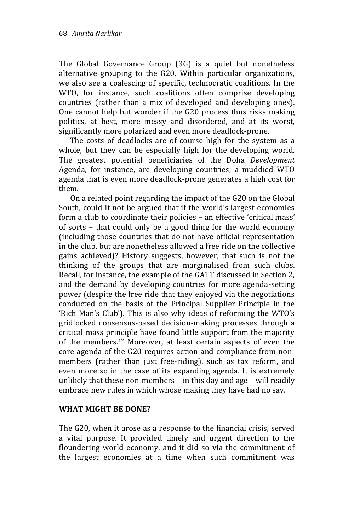The Global Governance Group (3G) is a quiet but nonetheless alternative grouping to the G20. Within particular organizations, we also see a coalescing of specific, technocratic coalitions. In the WTO, for instance, such coalitions often comprise developing countries (rather than a mix of developed and developing ones). One cannot help but wonder if the G20 process thus risks making politics, at best, more messy and disordered, and at its worst, significantly more polarized and even more deadlock-prone.

The costs of deadlocks are of course high for the system as a whole, but they can be especially high for the developing world. The greatest potential beneficiaries of the Doha *Development* Agenda, for instance, are developing countries; a muddied WTO agenda that is even more deadlock-prone generates a high cost for them.

On a related point regarding the impact of the G20 on the Global South, could it not be argued that if the world's largest economies form a club to coordinate their policies – an effective 'critical mass' of sorts – that could only be a good thing for the world economy (including those countries that do not have official representation in the club, but are nonetheless allowed a free ride on the collective gains achieved)? History suggests, however, that such is not the thinking of the groups that are marginalised from such clubs. Recall, for instance, the example of the GATT discussed in Section 2, and the demand by developing countries for more agenda-setting power (despite the free ride that they enjoyed via the negotiations conducted on the basis of the Principal Supplier Principle in the 'Rich Man's Club'). This is also why ideas of reforming the WTO's gridlocked consensus-based decision-making processes through a critical mass principle have found little support from the majority of the members.<sup>12</sup> Moreover, at least certain aspects of even the core agenda of the G20 requires action and compliance from nonmembers (rather than just free-riding), such as tax reform, and even more so in the case of its expanding agenda. It is extremely unlikely that these non-members – in this day and age – will readily embrace new rules in which whose making they have had no say.

# **WHAT MIGHT BE DONE?**

The G20, when it arose as a response to the financial crisis, served a vital purpose. It provided timely and urgent direction to the floundering world economy, and it did so via the commitment of the largest economies at a time when such commitment was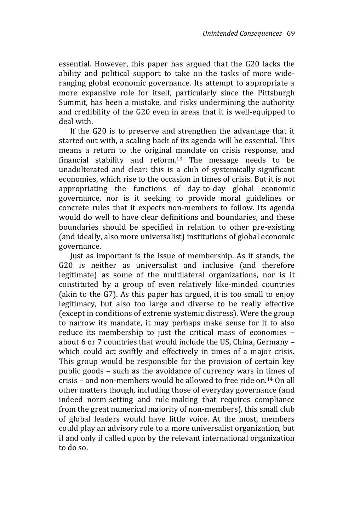essential. However, this paper has argued that the G20 lacks the ability and political support to take on the tasks of more wideranging global economic governance. Its attempt to appropriate a more expansive role for itself, particularly since the Pittsburgh Summit, has been a mistake, and risks undermining the authority and credibility of the G20 even in areas that it is well-equipped to deal with.

If the G20 is to preserve and strengthen the advantage that it started out with, a scaling back of its agenda will be essential. This means a return to the original mandate on crisis response, and financial stability and reform.<sup>13</sup> The message needs to be unadulterated and clear: this is a club of systemically significant economies, which rise to the occasion in times of crisis. But it is not appropriating the functions of day-to-day global economic governance, nor is it seeking to provide moral guidelines or concrete rules that it expects non-members to follow. Its agenda would do well to have clear definitions and boundaries, and these boundaries should be specified in relation to other pre-existing (and ideally, also more universalist) institutions of global economic governance.

Just as important is the issue of membership. As it stands, the G20 is neither as universalist and inclusive (and therefore legitimate) as some of the multilateral organizations, nor is it constituted by a group of even relatively like-minded countries (akin to the G7). As this paper has argued, it is too small to enjoy legitimacy, but also too large and diverse to be really effective (except in conditions of extreme systemic distress). Were the group to narrow its mandate, it may perhaps make sense for it to also reduce its membership to just the critical mass of economies – about 6 or 7 countries that would include the US, China, Germany – which could act swiftly and effectively in times of a major crisis. This group would be responsible for the provision of certain key public goods – such as the avoidance of currency wars in times of crisis – and non-members would be allowed to free ride on.<sup>14</sup> On all other matters though, including those of everyday governance (and indeed norm-setting and rule-making that requires compliance from the great numerical majority of non-members), this small club of global leaders would have little voice. At the most, members could play an advisory role to a more universalist organization, but if and only if called upon by the relevant international organization to do so.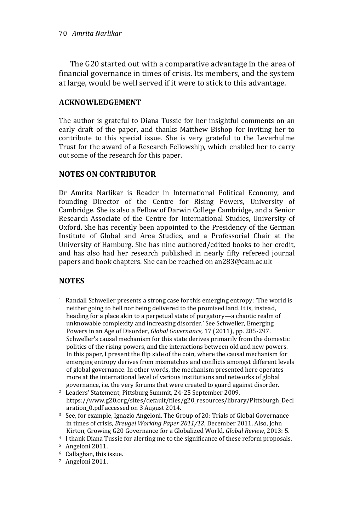The G20 started out with a comparative advantage in the area of financial governance in times of crisis. Its members, and the system at large, would be well served if it were to stick to this advantage.

#### **ACKNOWLEDGEMENT**

The author is grateful to Diana Tussie for her insightful comments on an early draft of the paper, and thanks Matthew Bishop for inviting her to contribute to this special issue. She is very grateful to the Leverhulme Trust for the award of a Research Fellowship, which enabled her to carry out some of the research for this paper.

### **NOTES ON CONTRIBUTOR**

Dr Amrita Narlikar is Reader in International Political Economy, and founding Director of the Centre for Rising Powers, University of Cambridge. She is also a Fellow of Darwin College Cambridge, and a Senior Research Associate of the Centre for International Studies, University of Oxford. She has recently been appointed to the Presidency of the German Institute of Global and Area Studies, and a Professorial Chair at the University of Hamburg. She has nine authored/edited books to her credit, and has also had her research published in nearly fifty refereed journal papers and book chapters. She can be reached on an283@cam.ac.uk

# **NOTES**

- <sup>1</sup> Randall Schweller presents a strong case for this emerging entropy: 'The world is neither going to hell nor being delivered to the promised land. It is, instead, heading for a place akin to a perpetual state of purgatory—a chaotic realm of unknowable complexity and increasing disorder.' See Schweller, Emerging Powers in an Age of Disorder, *Global Governance,* 17 (2011), pp. 285-297. Schweller's causal mechanism for this state derives primarily from the domestic politics of the rising powers, and the interactions between old and new powers. In this paper, I present the flip side of the coin, where the causal mechanism for emerging entropy derives from mismatches and conflicts amongst different levels of global governance. In other words, the mechanism presented here operates more at the international level of various institutions and networks of global governance, i.e. the very forums that were created to guard against disorder.
- <sup>2</sup> Leaders' Statement, Pittsburg Summit, 24-25 September 2009, https://www.g20.org/sites/default/files/g20\_resources/library/Pittsburgh\_Decl aration\_0.pdf accessed on 3 August 2014.
- <sup>3</sup> See, for example, Ignazio Angeloni, The Group of 20: Trials of Global Governance in times of crisis, *Breugel Working Paper 2011/12*, December 2011. Also, John Kirton, Growing G20 Governance for a Globalized World*, Global Review*, 2013: 5.
- <sup>4</sup> I thank Diana Tussie for alerting me to the significance of these reform proposals. <sup>5</sup> Angeloni 2011.

7 Angeloni 2011.

<sup>6</sup> Callaghan, this issue.